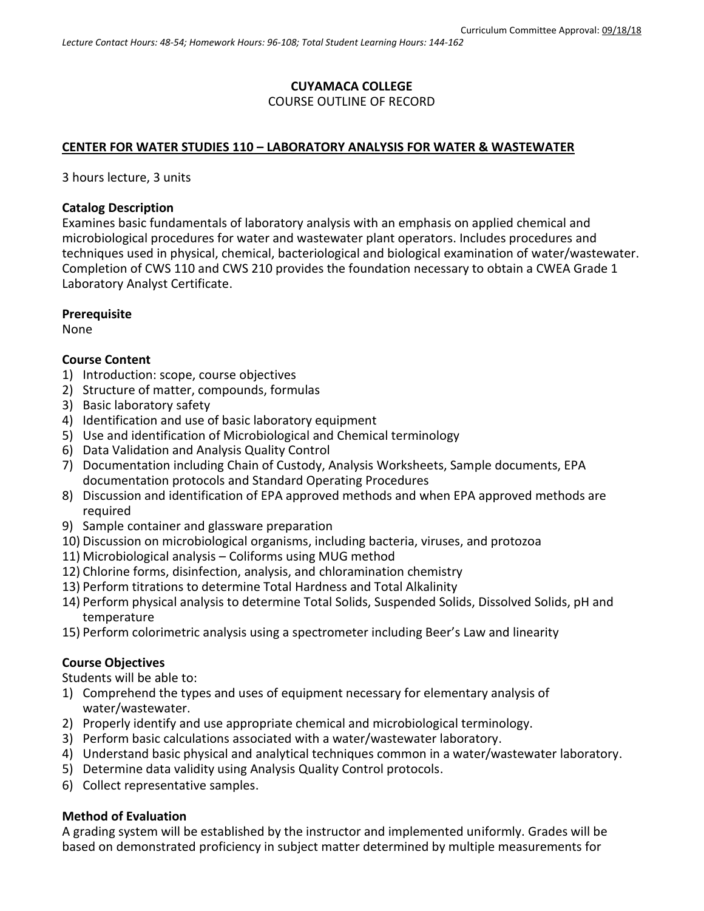## **CUYAMACA COLLEGE** COURSE OUTLINE OF RECORD

## **CENTER FOR WATER STUDIES 110 – LABORATORY ANALYSIS FOR WATER & WASTEWATER**

3 hours lecture, 3 units

## **Catalog Description**

Examines basic fundamentals of laboratory analysis with an emphasis on applied chemical and microbiological procedures for water and wastewater plant operators. Includes procedures and techniques used in physical, chemical, bacteriological and biological examination of water/wastewater. Completion of CWS 110 and CWS 210 provides the foundation necessary to obtain a CWEA Grade 1 Laboratory Analyst Certificate.

## **Prerequisite**

None

## **Course Content**

- 1) Introduction: scope, course objectives
- 2) Structure of matter, compounds, formulas
- 3) Basic laboratory safety
- 4) Identification and use of basic laboratory equipment
- 5) Use and identification of Microbiological and Chemical terminology
- 6) Data Validation and Analysis Quality Control
- 7) Documentation including Chain of Custody, Analysis Worksheets, Sample documents, EPA documentation protocols and Standard Operating Procedures
- 8) Discussion and identification of EPA approved methods and when EPA approved methods are required
- 9) Sample container and glassware preparation
- 10) Discussion on microbiological organisms, including bacteria, viruses, and protozoa
- 11) Microbiological analysis Coliforms using MUG method
- 12) Chlorine forms, disinfection, analysis, and chloramination chemistry
- 13) Perform titrations to determine Total Hardness and Total Alkalinity
- 14) Perform physical analysis to determine Total Solids, Suspended Solids, Dissolved Solids, pH and temperature
- 15) Perform colorimetric analysis using a spectrometer including Beer's Law and linearity

## **Course Objectives**

Students will be able to:

- 1) Comprehend the types and uses of equipment necessary for elementary analysis of water/wastewater.
- 2) Properly identify and use appropriate chemical and microbiological terminology.
- 3) Perform basic calculations associated with a water/wastewater laboratory.
- 4) Understand basic physical and analytical techniques common in a water/wastewater laboratory.
- 5) Determine data validity using Analysis Quality Control protocols.
- 6) Collect representative samples.

## **Method of Evaluation**

A grading system will be established by the instructor and implemented uniformly. Grades will be based on demonstrated proficiency in subject matter determined by multiple measurements for